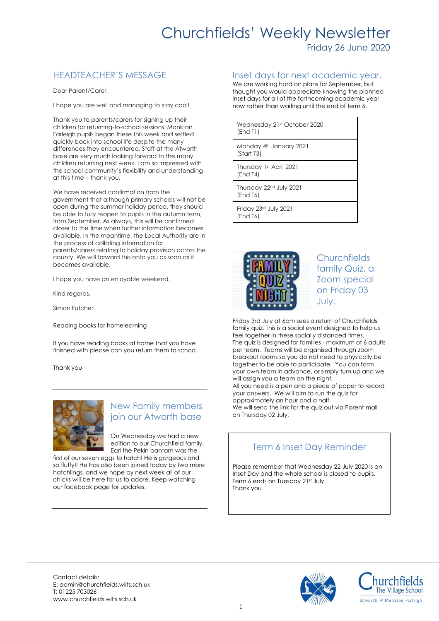# HEADTEACHER'S MESSAGE

Dear Parent/Carer,

I hope you are well and managing to stay cool!

Thank you to parents/carers for signing up their children for returning-to-school sessions. Monkton Farleigh pupils began these this week and settled quickly back into school life despite the many differences they encountered. Staff at the Atworth base are very much looking forward to the many children returning next week. I am so impressed with the school community's flexibility and understanding at this time – thank you.

We have received confirmation from the government that although primary schools will not be open during the summer holiday period, they should be able to fully reopen to pupils in the autumn term, from September. As always, this will be confirmed closer to the time when further information becomes available. In the meantime, the Local Authority are in the process of collating information for parents/carers relating to holiday provision across the county. We will forward this onto you as soon as it becomes available.

I hope you have an enjoyable weekend.

Kind regards,

Simon Futcher.

Reading books for homelearning

If you have reading books at home that you have finished with please can you return them to school.

Thank you



# New Family members join our Atworth base

On Wednesday we had a new edition to our Churchfield family. Earl the Pekin bantam was the

first of our seven eggs to hatch! He is gorgeous and so fluffy!! He has also been joined today by two more hatchlings, and we hope by next week all of our chicks will be here for us to adore. Keep watching our facebook page for updates.

Inset days for next academic year.

We are working hard on plans for September, but thought you would appreciate knowing the planned inset days for all of the forthcoming academic year now rather than waiting until the end of term 6.

| Wednesday 21st October 2020<br>(End T1)         |
|-------------------------------------------------|
| Monday 4th January 2021<br>(Start T3)           |
| Thursday 1st April 2021<br>(End T4)             |
| Thursday 22 <sup>nd</sup> July 2021<br>(End T6) |
| Friday 23rd July 2021<br>(End T6)               |



**Churchfields** family Quiz, a Zoom special on Friday 03 July.

Friday 3rd July at 6pm sees a return of Churchfields family quiz. This is a social event designed to help us feel together in these socially distanced times. The quiz is designed for families - maximum of 6 adults per team. Teams will be organised through zoom breakout rooms so you do not need to physically be together to be able to participate. You can form your own team in advance, or simply turn up and we will assign you a team on the night. All you need is a pen and a piece of paper to record your answers. We will aim to run the quiz for approximately an hour and a half. We will send the link for the quiz out via Parent mail on Thursday 02 July.

# Term 6 Inset Day Reminder

Please remember that Wednesday 22 July 2020 is an Inset Day and the whole school is closed to pupils. Term 6 ends on Tuesday 21st July Thank you



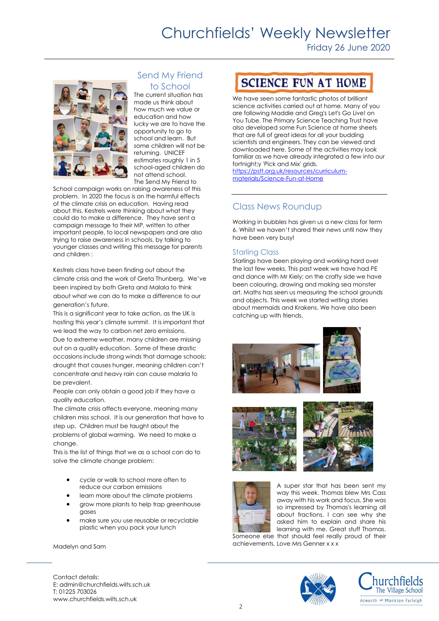# Churchfields' Weekly Newsletter

Friday 26 June 2020



## Send My Friend to School

The current situation has made us think about how much we value or education and how lucky we are to have the opportunity to go to school and learn. But some children will not be returning. UNICEF estimates roughly 1 in 5 school-aged children do not attend school. The Send My Friend to

School campaign works on raising awareness of this problem. In 2020 the focus is on the harmful effects of the climate crisis on education. Having read about this, Kestrels were thinking about what they could do to make a difference. They have sent a campaign message to their MP, written to other important people, to local newspapers and are also trying to raise awareness in schools, by talking to younger classes and writing this message for parents and children :

Kestrels class have been finding out about the climate crisis and the work of Greta Thunberg. We've been inspired by both Greta and Malala to think about what we can do to make a difference to our generation's future.

This is a significant year to take action, as the UK is hosting this year's climate summit. It is important that we lead the way to carbon net zero emissions. Due to extreme weather, many children are missing out on a quality education. Some of these drastic occasions include strong winds that damage schools; drought that causes hunger, meaning children can't concentrate and heavy rain can cause malaria to be prevalent.

People can only obtain a good job if they have a quality education.

The climate crisis affects everyone, meaning many children miss school. It is our generation that have to step up. Children must be taught about the problems of global warming. We need to make a change.

This is the list of things that we as a school can do to solve the climate change problem:

- cycle or walk to school more often to reduce our carbon emissions
- learn more about the climate problems
- grow more plants to help trap greenhouse gases
- make sure you use reusable or recyclable plastic when you pack your lunch

Madelyn and Sam

**SCIENCE FUN AT HOME** 

We have seen some fantastic photos of brilliant science activities carried out at home. Many of you are following Maddie and Greg's Let's Go Live! on You Tube. The Primary Science Teaching Trust have also developed some Fun Science at home sheets that are full of great ideas for all your budding scientists and engineers. They can be viewed and downloaded here. Some of the activities may look familiar as we have already integrated a few into our fortnight;y 'Pick and Mix' grids. [https://pstt.org.uk/resources/curriculum](https://pstt.org.uk/resources/curriculum-materials/Science-Fun-at-Home)[materials/Science-Fun-at-Home](https://pstt.org.uk/resources/curriculum-materials/Science-Fun-at-Home)

## Class News Roundup

Working in bubbles has given us a new class for term 6. Whilst we haven't shared their news until now they have been very busy!

### Starling Class

Starlings have been playing and working hard over the last few weeks. This past week we have had PE and dance with Mr Kiely; on the crafty side we have been colouring, drawing and making sea monster art. Maths has seen us measuring the school grounds and objects. This week we started writing stories about mermaids and Krakens. We have also been catching up with friends.









A super star that has been sent my way this week. Thomas blew Mrs Cass away with his work and focus. She was so impressed by Thomas's learning all about fractions. I can see why she asked him to explain and share his learning with me. Great stuff Thomas.

Someone else that should feel really proud of their achievements. Love Mrs Genner x x x





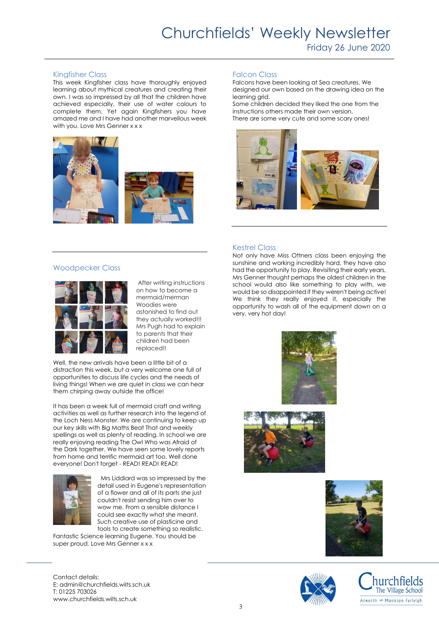#### Kingfisher Class

This week Kingfisher class have thoroughly enjoyed learning about mythical creatures and creating their own. I was so impressed by all that the children have achieved especially, their use of water colours to complete them. Yet again Kingfishers you have amazed me and I have had another marvellous week with you. Love Mrs Genner x x x



#### Woodpecker Class



After writing instructions on how to become a mermaid/merman Woodies were astonished to find out they actually worked!!! Mrs Pugh had to explain to parents that their children had been replaced!!

Well, the new arrivals have been a little bit of a distraction this week, but a very welcome one full of opportunities to discuss life cycles and the needs of living things! When we are quiet in class we can hear them chirping away outside the office!

It has been a week full of mermaid craft and writing activities as well as further research into the legend of the Loch Ness Monster. We are continuing to keep up our key skills with Big Maths Beat That and weekly spellings as well as plenty of reading. In school we are really enjoying reading The Owl Who was Afraid of the Dark together. We have seen some lovely reports from home and terrific mermaid art too. Well done everyone! Don't forget - READ! READ! READ!



 Mrs Liddiard was so impressed by the detail used in Eugene's representation of a flower and all of its parts she just couldn't resist sending him over to wow me. From a sensible distance I could see exactly what she meant. Such creative use of plasticine and tools to create something so realistic.

Fantastic Science learning Eugene. You should be super proud. Love Mrs Genner x x x

#### Falcon Class

Falcons have been looking at Sea creatures. We designed our own based on the drawing idea on the learning grid.

Some children decided they liked the one from the instructions others made their own version. There are some very cute and some scary ones!



#### Kestrel Class

Not only have Miss Ottners class been enjoying the sunshine and working incredibly hard, they have also had the opportunity to play. Revisiting their early years, Mrs Genner thought perhaps the oldest children in the school would also like something to play with, we would be so disappointed if they weren't being active! We think they really enjoyed it, especially the opportunity to wash all of the equipment down on a very, very hot day!











Contact details: E: admin@churchfields.wilts.sch.uk T: 01225 703026 www.churchfields.wilts.sch.uk